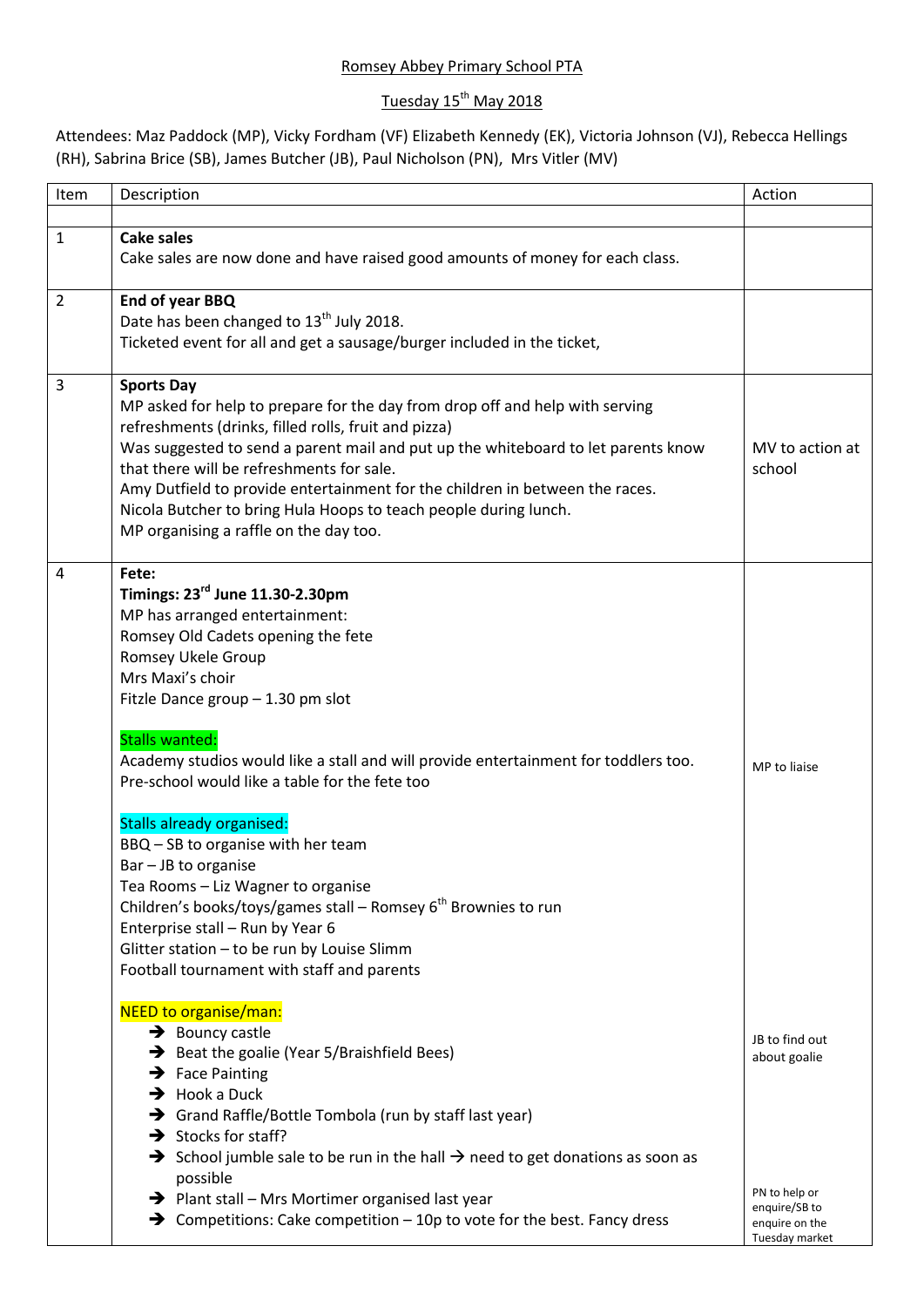## Romsey Abbey Primary School PTA

## Tuesday 15<sup>th</sup> May 2018

Attendees: Maz Paddock (MP), Vicky Fordham (VF) Elizabeth Kennedy (EK), Victoria Johnson (VJ), Rebecca Hellings (RH), Sabrina Brice (SB), James Butcher (JB), Paul Nicholson (PN), Mrs Vitler (MV)

| Item | Description                                                                                                                                                                                                                                                                                                                                                                                                                                                                                                                                                                                                                                                                                                                                 | Action                                                                                               |
|------|---------------------------------------------------------------------------------------------------------------------------------------------------------------------------------------------------------------------------------------------------------------------------------------------------------------------------------------------------------------------------------------------------------------------------------------------------------------------------------------------------------------------------------------------------------------------------------------------------------------------------------------------------------------------------------------------------------------------------------------------|------------------------------------------------------------------------------------------------------|
| 1    | Cake sales<br>Cake sales are now done and have raised good amounts of money for each class.                                                                                                                                                                                                                                                                                                                                                                                                                                                                                                                                                                                                                                                 |                                                                                                      |
| 2    | End of year BBQ<br>Date has been changed to 13 <sup>th</sup> July 2018.<br>Ticketed event for all and get a sausage/burger included in the ticket,                                                                                                                                                                                                                                                                                                                                                                                                                                                                                                                                                                                          |                                                                                                      |
| 3    | <b>Sports Day</b><br>MP asked for help to prepare for the day from drop off and help with serving<br>refreshments (drinks, filled rolls, fruit and pizza)<br>Was suggested to send a parent mail and put up the whiteboard to let parents know<br>that there will be refreshments for sale.<br>Amy Dutfield to provide entertainment for the children in between the races.<br>Nicola Butcher to bring Hula Hoops to teach people during lunch.<br>MP organising a raffle on the day too.                                                                                                                                                                                                                                                   | MV to action at<br>school                                                                            |
| 4    | Fete:<br>Timings: 23 <sup>rd</sup> June 11.30-2.30pm<br>MP has arranged entertainment:<br>Romsey Old Cadets opening the fete<br><b>Romsey Ukele Group</b><br>Mrs Maxi's choir<br>Fitzle Dance group - 1.30 pm slot<br><b>Stalls wanted:</b><br>Academy studios would like a stall and will provide entertainment for toddlers too.<br>Pre-school would like a table for the fete too<br><b>Stalls already organised:</b><br>BBQ - SB to organise with her team<br>Bar - JB to organise<br>Tea Rooms - Liz Wagner to organise<br>Children's books/toys/games stall - Romsey 6 <sup>th</sup> Brownies to run<br>Enterprise stall - Run by Year 6<br>Glitter station - to be run by Louise Slimm<br>Football tournament with staff and parents | MP to liaise                                                                                         |
|      | NEED to organise/man:<br>$\rightarrow$ Bouncy castle<br>→ Beat the goalie (Year 5/Braishfield Bees)<br>$\rightarrow$ Face Painting<br>$\rightarrow$ Hook a Duck<br>Strand Raffle/Bottle Tombola (run by staff last year)<br>$\rightarrow$ Stocks for staff?<br>$\rightarrow$ School jumble sale to be run in the hall $\rightarrow$ need to get donations as soon as<br>possible<br>$\rightarrow$ Plant stall – Mrs Mortimer organised last year<br>$\rightarrow$ Competitions: Cake competition – 10p to vote for the best. Fancy dress                                                                                                                                                                                                    | JB to find out<br>about goalie<br>PN to help or<br>enquire/SB to<br>enquire on the<br>Tuesday market |